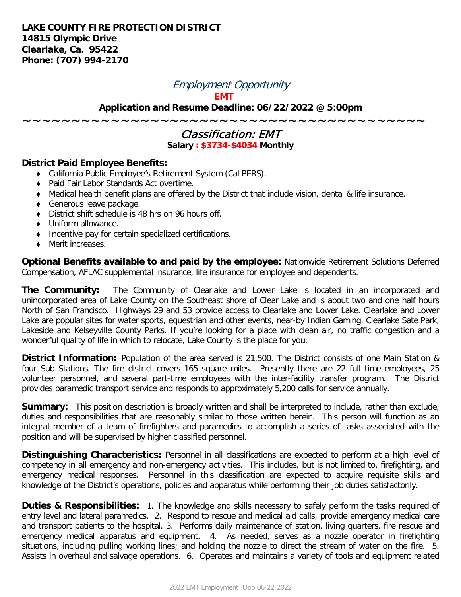## Employment Opportunity

**EMT**

**Application and Resume Deadline: 06/22/2022 @ 5:00pm**

**~~~~~~~~~~~~~~~~~~~~~~~~~~~~~~~~~~~~~~~~~**

## Classification: EMT **Salary : \$3734-\$4034 Monthly**

## **District Paid Employee Benefits:**

- ♦ California Public Employee's Retirement System (Cal PERS).
- ♦ Paid Fair Labor Standards Act overtime.
- ♦ Medical health benefit plans are offered by the District that include vision, dental & life insurance.
- ♦ Generous leave package.
- ♦ District shift schedule is 48 hrs on 96 hours off.
- ♦ Uniform allowance.
- ♦ Incentive pay for certain specialized certifications.
- ♦ Merit increases.

**Optional Benefits available to and paid by the employee:** Nationwide Retirement Solutions Deferred Compensation, AFLAC supplemental insurance, life insurance for employee and dependents.

**The Community:** The Community of Clearlake and Lower Lake is located in an incorporated and unincorporated area of Lake County on the Southeast shore of Clear Lake and is about two and one half hours North of San Francisco. Highways 29 and 53 provide access to Clearlake and Lower Lake. Clearlake and Lower Lake are popular sites for water sports, equestrian and other events, near-by Indian Gaming, Clearlake Sate Park, Lakeside and Kelseyville County Parks. If you're looking for a place with clean air, no traffic congestion and a wonderful quality of life in which to relocate, Lake County is the place for you.

**District Information:** Population of the area served is 21,500. The District consists of one Main Station & four Sub Stations. The fire district covers 165 square miles. Presently there are 22 full time employees, 25 volunteer personnel, and several part-time employees with the inter-facility transfer program. The District provides paramedic transport service and responds to approximately 5,200 calls for service annually.

**Summary:** This position description is broadly written and shall be interpreted to include, rather than exclude, duties and responsibilities that are reasonably similar to those written herein. This person will function as an integral member of a team of firefighters and paramedics to accomplish a series of tasks associated with the position and will be supervised by higher classified personnel.

**Distinguishing Characteristics:** Personnel in all classifications are expected to perform at a high level of competency in all emergency and non-emergency activities. This includes, but is not limited to, firefighting, and emergency medical responses. Personnel in this classification are expected to acquire requisite skills and knowledge of the District's operations, policies and apparatus while performing their job duties satisfactorily.

**Duties & Responsibilities:** 1. The knowledge and skills necessary to safely perform the tasks required of entry level and lateral paramedics. 2. Respond to rescue and medical aid calls, provide emergency medical care and transport patients to the hospital. 3. Performs daily maintenance of station, living quarters, fire rescue and emergency medical apparatus and equipment. 4. As needed, serves as a nozzle operator in firefighting situations, including pulling working lines; and holding the nozzle to direct the stream of water on the fire. 5. Assists in overhaul and salvage operations. 6. Operates and maintains a variety of tools and equipment related